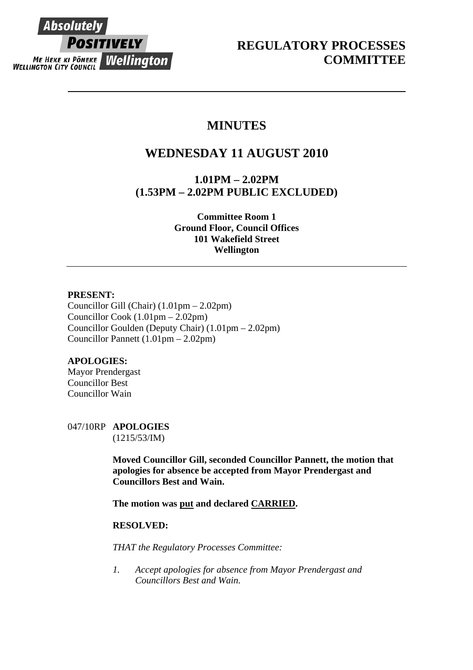# **Absolutely POSITIVELY** ME HEKE KI PONEKE WELLINGTON CITY COUNCIL WELLINGTON CITY COUNCIL

## **MINUTES**

# **WEDNESDAY 11 AUGUST 2010**

**1.01PM – 2.02PM (1.53PM – 2.02PM PUBLIC EXCLUDED)** 

> **Committee Room 1 Ground Floor, Council Offices 101 Wakefield Street Wellington**

#### **PRESENT:**

Councillor Gill (Chair) (1.01pm – 2.02pm) Councillor Cook (1.01pm – 2.02pm) Councillor Goulden (Deputy Chair) (1.01pm – 2.02pm) Councillor Pannett (1.01pm – 2.02pm)

### **APOLOGIES:**

Mayor Prendergast Councillor Best Councillor Wain

047/10RP **APOLOGIES**  (1215/53/IM)

> **Moved Councillor Gill, seconded Councillor Pannett, the motion that apologies for absence be accepted from Mayor Prendergast and Councillors Best and Wain.**

**The motion was put and declared CARRIED.** 

#### **RESOLVED:**

*THAT the Regulatory Processes Committee:* 

*1. Accept apologies for absence from Mayor Prendergast and Councillors Best and Wain.*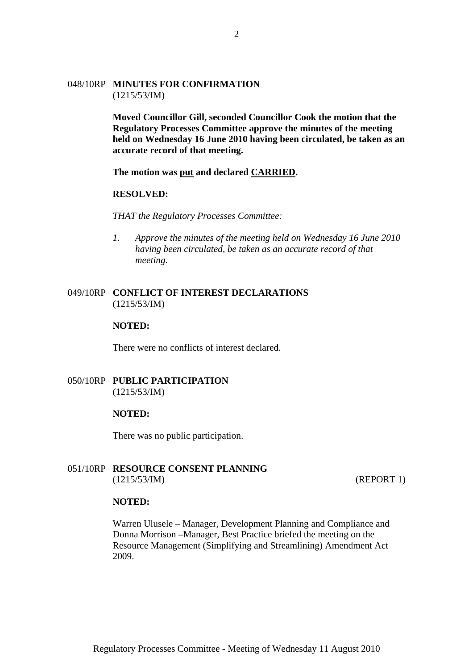#### 048/10RP **MINUTES FOR CONFIRMATION**  (1215/53/IM)

**Moved Councillor Gill, seconded Councillor Cook the motion that the Regulatory Processes Committee approve the minutes of the meeting held on Wednesday 16 June 2010 having been circulated, be taken as an accurate record of that meeting.** 

**The motion was put and declared CARRIED.**

#### **RESOLVED:**

*THAT the Regulatory Processes Committee:* 

*1. Approve the minutes of the meeting held on Wednesday 16 June 2010 having been circulated, be taken as an accurate record of that meeting.* 

#### 049/10RP **CONFLICT OF INTEREST DECLARATIONS** (1215/53/IM)

#### **NOTED:**

There were no conflicts of interest declared.

#### 050/10RP **PUBLIC PARTICIPATION** (1215/53/IM)

#### **NOTED:**

There was no public participation.

#### 051/10RP **RESOURCE CONSENT PLANNING** (1215/53/IM) (REPORT 1)

#### **NOTED:**

Warren Ulusele – Manager, Development Planning and Compliance and Donna Morrison –Manager, Best Practice briefed the meeting on the Resource Management (Simplifying and Streamlining) Amendment Act 2009.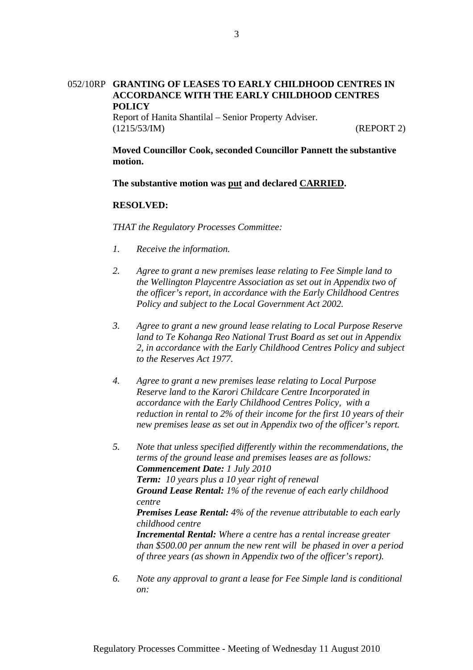### 052/10RP **GRANTING OF LEASES TO EARLY CHILDHOOD CENTRES IN ACCORDANCE WITH THE EARLY CHILDHOOD CENTRES POLICY**

Report of Hanita Shantilal – Senior Property Adviser. (1215/53/IM) (REPORT 2)

**Moved Councillor Cook, seconded Councillor Pannett the substantive motion.** 

**The substantive motion was put and declared CARRIED.** 

#### **RESOLVED:**

*THAT the Regulatory Processes Committee:* 

- *1. Receive the information.*
- *2. Agree to grant a new premises lease relating to Fee Simple land to the Wellington Playcentre Association as set out in Appendix two of the officer's report, in accordance with the Early Childhood Centres Policy and subject to the Local Government Act 2002.*
- *3. Agree to grant a new ground lease relating to Local Purpose Reserve land to Te Kohanga Reo National Trust Board as set out in Appendix 2, in accordance with the Early Childhood Centres Policy and subject to the Reserves Act 1977.*
- *4. Agree to grant a new premises lease relating to Local Purpose Reserve land to the Karori Childcare Centre Incorporated in accordance with the Early Childhood Centres Policy, with a reduction in rental to 2% of their income for the first 10 years of their new premises lease as set out in Appendix two of the officer's report.*
- *5. Note that unless specified differently within the recommendations, the terms of the ground lease and premises leases are as follows: Commencement Date: 1 July 2010 Term: 10 years plus a 10 year right of renewal Ground Lease Rental: 1% of the revenue of each early childhood centre Premises Lease Rental: 4% of the revenue attributable to each early childhood centre Incremental Rental: Where a centre has a rental increase greater than \$500.00 per annum the new rent will be phased in over a period of three years (as shown in Appendix two of the officer's report).*
- *6. Note any approval to grant a lease for Fee Simple land is conditional on:*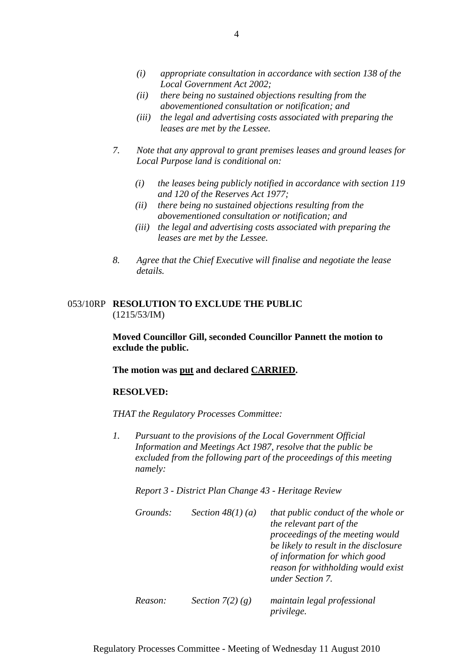- *(i) appropriate consultation in accordance with section 138 of the Local Government Act 2002;*
- *(ii) there being no sustained objections resulting from the abovementioned consultation or notification; and*
- *(iii) the legal and advertising costs associated with preparing the leases are met by the Lessee.*
- *7. Note that any approval to grant premises leases and ground leases for Local Purpose land is conditional on:* 
	- *(i) the leases being publicly notified in accordance with section 119 and 120 of the Reserves Act 1977;*
	- *(ii) there being no sustained objections resulting from the abovementioned consultation or notification; and*
	- *(iii) the legal and advertising costs associated with preparing the leases are met by the Lessee.*
- *8. Agree that the Chief Executive will finalise and negotiate the lease details.*

#### 053/10RP **RESOLUTION TO EXCLUDE THE PUBLIC** (1215/53/IM)

**Moved Councillor Gill, seconded Councillor Pannett the motion to exclude the public.** 

**The motion was put and declared CARRIED.** 

#### **RESOLVED:**

*THAT the Regulatory Processes Committee:* 

*1. Pursuant to the provisions of the Local Government Official Information and Meetings Act 1987, resolve that the public be excluded from the following part of the proceedings of this meeting namely:* 

*Report 3 - District Plan Change 43 - Heritage Review* 

| Grounds: | Section $48(1)(a)$ | that public conduct of the whole or<br>the relevant part of the<br>proceedings of the meeting would<br>be likely to result in the disclosure<br>of information for which good<br>reason for withholding would exist<br>under Section 7. |
|----------|--------------------|-----------------------------------------------------------------------------------------------------------------------------------------------------------------------------------------------------------------------------------------|
| Reason:  | Section $7(2)(g)$  | maintain legal professional<br>privilege.                                                                                                                                                                                               |